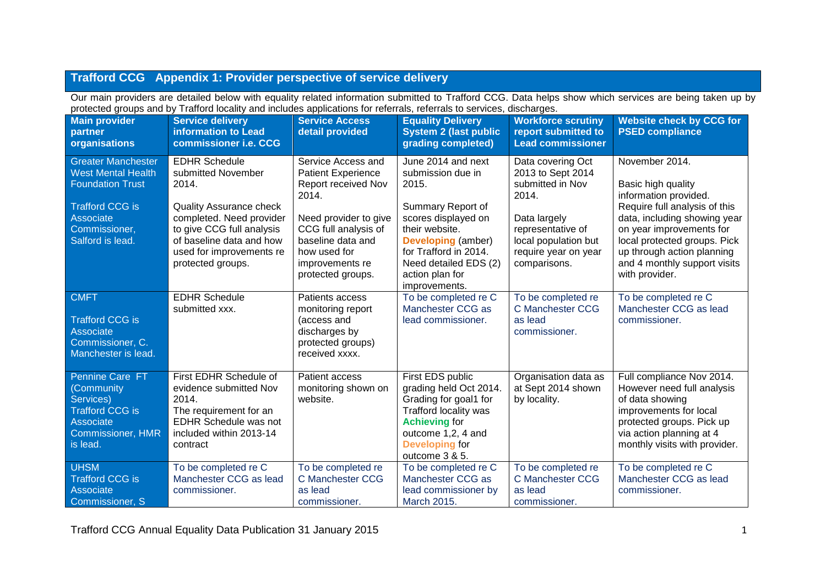# **Trafford CCG Appendix 1: Provider perspective of service delivery**

Our main providers are detailed below with equality related information submitted to Trafford CCG. Data helps show which services are being taken up by protected groups and by Trafford locality and includes applications for referrals, referrals to services, discharges.

| <b>Main provider</b><br>partner<br>organisations                                                                                                              | <b>Service delivery</b><br>information to Lead<br>commissioner i.e. CCG                                                                                                                                                     | <b>Service Access</b><br>detail provided                                                                                                                                                                      | <b>Equality Delivery</b><br><b>System 2 (last public</b><br>grading completed)                                                                                                                                                    | <b>Workforce scrutiny</b><br>report submitted to<br><b>Lead commissioner</b>                                                                                             | <b>Website check by CCG for</b><br><b>PSED compliance</b>                                                                                                                                                                                                                  |
|---------------------------------------------------------------------------------------------------------------------------------------------------------------|-----------------------------------------------------------------------------------------------------------------------------------------------------------------------------------------------------------------------------|---------------------------------------------------------------------------------------------------------------------------------------------------------------------------------------------------------------|-----------------------------------------------------------------------------------------------------------------------------------------------------------------------------------------------------------------------------------|--------------------------------------------------------------------------------------------------------------------------------------------------------------------------|----------------------------------------------------------------------------------------------------------------------------------------------------------------------------------------------------------------------------------------------------------------------------|
| <b>Greater Manchester</b><br><b>West Mental Health</b><br><b>Foundation Trust</b><br><b>Trafford CCG is</b><br>Associate<br>Commissioner,<br>Salford is lead. | <b>EDHR Schedule</b><br>submitted November<br>2014.<br><b>Quality Assurance check</b><br>completed. Need provider<br>to give CCG full analysis<br>of baseline data and how<br>used for improvements re<br>protected groups. | Service Access and<br><b>Patient Experience</b><br>Report received Nov<br>2014.<br>Need provider to give<br>CCG full analysis of<br>baseline data and<br>how used for<br>improvements re<br>protected groups. | June 2014 and next<br>submission due in<br>2015.<br>Summary Report of<br>scores displayed on<br>their website.<br><b>Developing (amber)</b><br>for Trafford in 2014.<br>Need detailed EDS (2)<br>action plan for<br>improvements. | Data covering Oct<br>2013 to Sept 2014<br>submitted in Nov<br>2014.<br>Data largely<br>representative of<br>local population but<br>require year on year<br>comparisons. | November 2014.<br>Basic high quality<br>information provided.<br>Require full analysis of this<br>data, including showing year<br>on year improvements for<br>local protected groups. Pick<br>up through action planning<br>and 4 monthly support visits<br>with provider. |
| <b>CMFT</b><br><b>Trafford CCG is</b><br><b>Associate</b><br>Commissioner, C.<br>Manchester is lead.                                                          | <b>EDHR Schedule</b><br>submitted xxx.                                                                                                                                                                                      | Patients access<br>monitoring report<br>(access and<br>discharges by<br>protected groups)<br>received xxxx.                                                                                                   | To be completed re C<br>Manchester CCG as<br>lead commissioner.                                                                                                                                                                   | To be completed re<br>C Manchester CCG<br>as lead<br>commissioner.                                                                                                       | To be completed re C<br>Manchester CCG as lead<br>commissioner.                                                                                                                                                                                                            |
| Pennine Care FT<br>(Community<br>Services)<br><b>Trafford CCG is</b><br>Associate<br><b>Commissioner, HMR</b><br>is lead.                                     | First EDHR Schedule of<br>evidence submitted Nov<br>2014.<br>The requirement for an<br>EDHR Schedule was not<br>included within 2013-14<br>contract                                                                         | Patient access<br>monitoring shown on<br>website.                                                                                                                                                             | First EDS public<br>grading held Oct 2014.<br>Grading for goal1 for<br>Trafford locality was<br><b>Achieving for</b><br>outcome 1,2, 4 and<br><b>Developing for</b><br>outcome 3 & 5.                                             | Organisation data as<br>at Sept 2014 shown<br>by locality.                                                                                                               | Full compliance Nov 2014.<br>However need full analysis<br>of data showing<br>improvements for local<br>protected groups. Pick up<br>via action planning at 4<br>monthly visits with provider.                                                                             |
| <b>UHSM</b><br><b>Trafford CCG is</b><br>Associate<br>Commissioner, S                                                                                         | To be completed re C<br>Manchester CCG as lead<br>commissioner.                                                                                                                                                             | To be completed re<br><b>C Manchester CCG</b><br>as lead<br>commissioner.                                                                                                                                     | To be completed re C<br>Manchester CCG as<br>lead commissioner by<br>March 2015.                                                                                                                                                  | To be completed re<br>C Manchester CCG<br>as lead<br>commissioner.                                                                                                       | To be completed re C<br>Manchester CCG as lead<br>commissioner.                                                                                                                                                                                                            |

Trafford CCG Annual Equality Data Publication 31 January 2015 1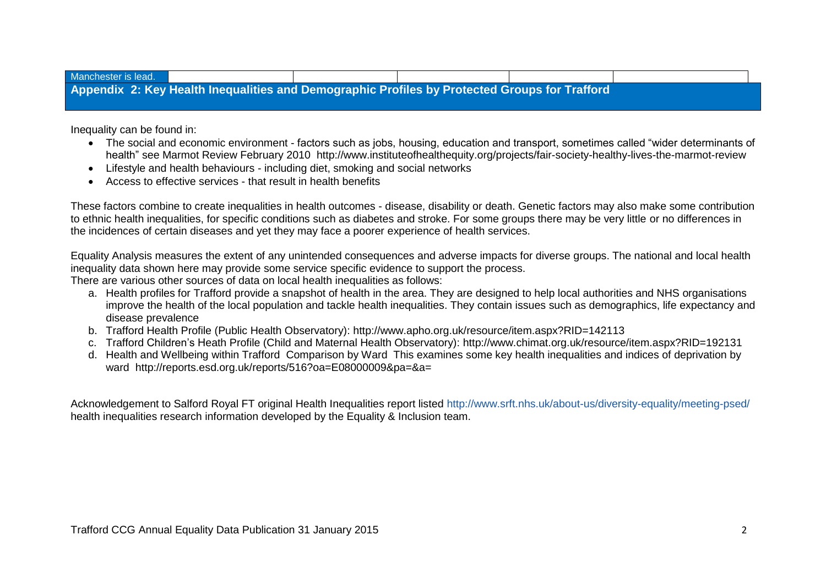| Manchester is lead. |                                                                                               |  |  |  |
|---------------------|-----------------------------------------------------------------------------------------------|--|--|--|
|                     | Appendix 2: Key Health Inequalities and Demographic Profiles by Protected Groups for Trafford |  |  |  |

Inequality can be found in:

- The social and economic environment factors such as jobs, housing, education and transport, sometimes called "wider determinants of health" see Marmot Review February 2010 http://www.instituteofhealthequity.org/projects/fair-society-healthy-lives-the-marmot-review
- Lifestyle and health behaviours including diet, smoking and social networks
- Access to effective services that result in health benefits

These factors combine to create inequalities in health outcomes - disease, disability or death. Genetic factors may also make some contribution to ethnic health inequalities, for specific conditions such as diabetes and stroke. For some groups there may be very little or no differences in the incidences of certain diseases and yet they may face a poorer experience of health services.

Equality Analysis measures the extent of any unintended consequences and adverse impacts for diverse groups. The national and local health inequality data shown here may provide some service specific evidence to support the process.

There are various other sources of data on local health inequalities as follows:

- a. Health profiles for Trafford provide a snapshot of health in the area. They are designed to help local authorities and NHS organisations improve the health of the local population and tackle health inequalities. They contain issues such as demographics, life expectancy and disease prevalence
- b. Trafford Health Profile (Public Health Observatory): http://www.apho.org.uk/resource/item.aspx?RID=142113
- c. Trafford Children's Heath Profile (Child and Maternal Health Observatory): http://www.chimat.org.uk/resource/item.aspx?RID=192131
- d. Health and Wellbeing within Trafford Comparison by Ward This examines some key health inequalities and indices of deprivation by ward http://reports.esd.org.uk/reports/516?oa=E08000009&pa=&a=

Acknowledgement to Salford Royal FT original Health Inequalities report listed<http://www.srft.nhs.uk/about-us/diversity-equality/meeting-psed/> health inequalities research information developed by the Equality & Inclusion team.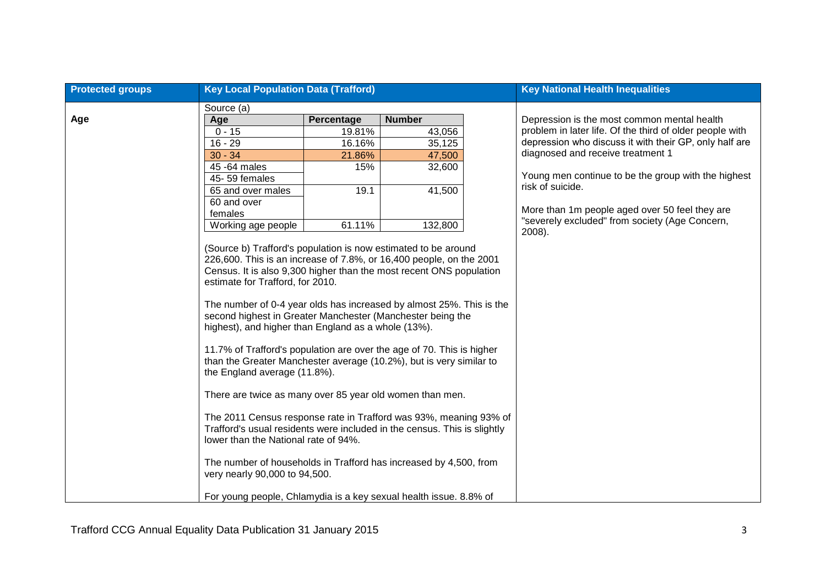| <b>Protected groups</b> | <b>Key Local Population Data (Trafford)</b>                                                                                                                                                                                                                                                                                                                                                                                                                                                                                                                                                                                                                                                                                                                                                                                                                                                                                                                                                                                                                   |            | <b>Key National Health Inequalities</b> |  |                                                          |
|-------------------------|---------------------------------------------------------------------------------------------------------------------------------------------------------------------------------------------------------------------------------------------------------------------------------------------------------------------------------------------------------------------------------------------------------------------------------------------------------------------------------------------------------------------------------------------------------------------------------------------------------------------------------------------------------------------------------------------------------------------------------------------------------------------------------------------------------------------------------------------------------------------------------------------------------------------------------------------------------------------------------------------------------------------------------------------------------------|------------|-----------------------------------------|--|----------------------------------------------------------|
|                         | Source (a)                                                                                                                                                                                                                                                                                                                                                                                                                                                                                                                                                                                                                                                                                                                                                                                                                                                                                                                                                                                                                                                    |            |                                         |  |                                                          |
| Age                     | Age                                                                                                                                                                                                                                                                                                                                                                                                                                                                                                                                                                                                                                                                                                                                                                                                                                                                                                                                                                                                                                                           | Percentage | <b>Number</b>                           |  | Depression is the most common mental health              |
|                         | $0 - 15$                                                                                                                                                                                                                                                                                                                                                                                                                                                                                                                                                                                                                                                                                                                                                                                                                                                                                                                                                                                                                                                      | 19.81%     | 43,056                                  |  | problem in later life. Of the third of older people with |
|                         | $16 - 29$                                                                                                                                                                                                                                                                                                                                                                                                                                                                                                                                                                                                                                                                                                                                                                                                                                                                                                                                                                                                                                                     | 16.16%     | 35,125                                  |  | depression who discuss it with their GP, only half are   |
|                         | $30 - 34$                                                                                                                                                                                                                                                                                                                                                                                                                                                                                                                                                                                                                                                                                                                                                                                                                                                                                                                                                                                                                                                     | 21.86%     | 47,500                                  |  | diagnosed and receive treatment 1                        |
|                         | 45 - 64 males                                                                                                                                                                                                                                                                                                                                                                                                                                                                                                                                                                                                                                                                                                                                                                                                                                                                                                                                                                                                                                                 | 15%        | 32,600                                  |  |                                                          |
|                         | 45-59 females                                                                                                                                                                                                                                                                                                                                                                                                                                                                                                                                                                                                                                                                                                                                                                                                                                                                                                                                                                                                                                                 |            |                                         |  | Young men continue to be the group with the highest      |
|                         | 65 and over males                                                                                                                                                                                                                                                                                                                                                                                                                                                                                                                                                                                                                                                                                                                                                                                                                                                                                                                                                                                                                                             | 19.1       | 41,500                                  |  | risk of suicide.                                         |
|                         | 60 and over                                                                                                                                                                                                                                                                                                                                                                                                                                                                                                                                                                                                                                                                                                                                                                                                                                                                                                                                                                                                                                                   |            |                                         |  | More than 1m people aged over 50 feel they are           |
|                         | females                                                                                                                                                                                                                                                                                                                                                                                                                                                                                                                                                                                                                                                                                                                                                                                                                                                                                                                                                                                                                                                       |            |                                         |  | "severely excluded" from society (Age Concern,           |
|                         | Working age people                                                                                                                                                                                                                                                                                                                                                                                                                                                                                                                                                                                                                                                                                                                                                                                                                                                                                                                                                                                                                                            | 61.11%     | 132,800                                 |  | 2008).                                                   |
|                         | (Source b) Trafford's population is now estimated to be around<br>226,600. This is an increase of 7.8%, or 16,400 people, on the 2001<br>Census. It is also 9,300 higher than the most recent ONS population<br>estimate for Trafford, for 2010.<br>The number of 0-4 year olds has increased by almost 25%. This is the<br>second highest in Greater Manchester (Manchester being the<br>highest), and higher than England as a whole (13%).<br>11.7% of Trafford's population are over the age of 70. This is higher<br>than the Greater Manchester average (10.2%), but is very similar to<br>the England average (11.8%).<br>There are twice as many over 85 year old women than men.<br>The 2011 Census response rate in Trafford was 93%, meaning 93% of<br>Trafford's usual residents were included in the census. This is slightly<br>lower than the National rate of 94%.<br>The number of households in Trafford has increased by 4,500, from<br>very nearly 90,000 to 94,500.<br>For young people, Chlamydia is a key sexual health issue. 8.8% of |            |                                         |  |                                                          |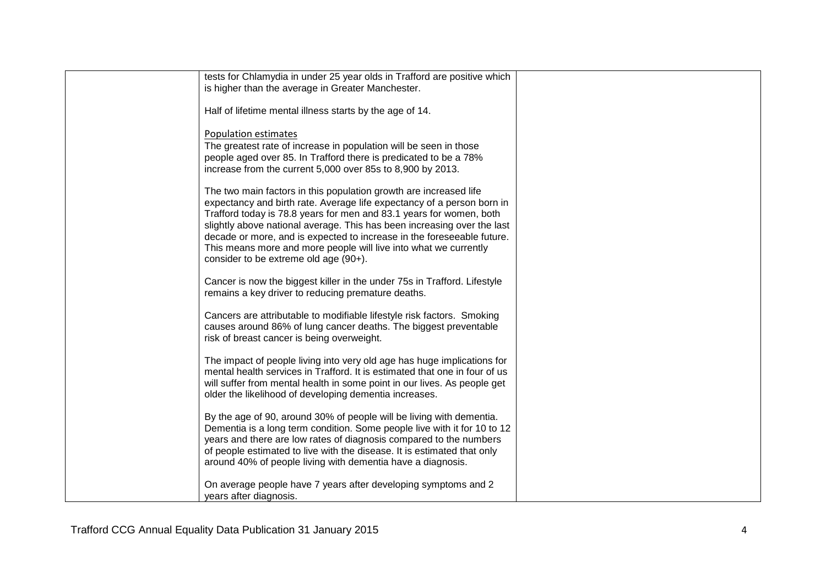| tests for Chlamydia in under 25 year olds in Trafford are positive which   |  |
|----------------------------------------------------------------------------|--|
|                                                                            |  |
| is higher than the average in Greater Manchester.                          |  |
|                                                                            |  |
| Half of lifetime mental illness starts by the age of 14.                   |  |
|                                                                            |  |
| Population estimates                                                       |  |
| The greatest rate of increase in population will be seen in those          |  |
|                                                                            |  |
| people aged over 85. In Trafford there is predicated to be a 78%           |  |
| increase from the current 5,000 over 85s to 8,900 by 2013.                 |  |
|                                                                            |  |
| The two main factors in this population growth are increased life          |  |
| expectancy and birth rate. Average life expectancy of a person born in     |  |
| Trafford today is 78.8 years for men and 83.1 years for women, both        |  |
| slightly above national average. This has been increasing over the last    |  |
| decade or more, and is expected to increase in the foreseeable future.     |  |
| This means more and more people will live into what we currently           |  |
| consider to be extreme old age (90+).                                      |  |
|                                                                            |  |
|                                                                            |  |
| Cancer is now the biggest killer in the under 75s in Trafford. Lifestyle   |  |
| remains a key driver to reducing premature deaths.                         |  |
|                                                                            |  |
| Cancers are attributable to modifiable lifestyle risk factors. Smoking     |  |
| causes around 86% of lung cancer deaths. The biggest preventable           |  |
| risk of breast cancer is being overweight.                                 |  |
|                                                                            |  |
| The impact of people living into very old age has huge implications for    |  |
| mental health services in Trafford. It is estimated that one in four of us |  |
| will suffer from mental health in some point in our lives. As people get   |  |
| older the likelihood of developing dementia increases.                     |  |
|                                                                            |  |
|                                                                            |  |
| By the age of 90, around 30% of people will be living with dementia.       |  |
| Dementia is a long term condition. Some people live with it for 10 to 12   |  |
| years and there are low rates of diagnosis compared to the numbers         |  |
| of people estimated to live with the disease. It is estimated that only    |  |
| around 40% of people living with dementia have a diagnosis.                |  |
|                                                                            |  |
| On average people have 7 years after developing symptoms and 2             |  |
| years after diagnosis.                                                     |  |
|                                                                            |  |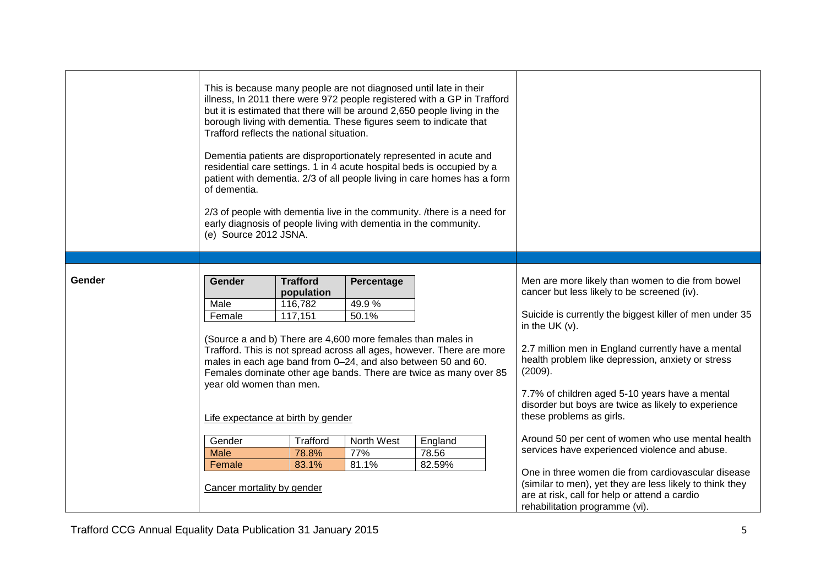|        | This is because many people are not diagnosed until late in their<br>illness, In 2011 there were 972 people registered with a GP in Trafford<br>but it is estimated that there will be around 2,650 people living in the<br>borough living with dementia. These figures seem to indicate that<br>Trafford reflects the national situation.<br>Dementia patients are disproportionately represented in acute and<br>residential care settings. 1 in 4 acute hospital beds is occupied by a<br>patient with dementia. 2/3 of all people living in care homes has a form<br>of dementia.<br>2/3 of people with dementia live in the community. /there is a need for<br>early diagnosis of people living with dementia in the community.<br>(e) Source 2012 JSNA. |                                                     |                              |                                                                                                                                            |                                                                                                                                                                                                                                                                                                                                                                                                                                            |
|--------|---------------------------------------------------------------------------------------------------------------------------------------------------------------------------------------------------------------------------------------------------------------------------------------------------------------------------------------------------------------------------------------------------------------------------------------------------------------------------------------------------------------------------------------------------------------------------------------------------------------------------------------------------------------------------------------------------------------------------------------------------------------|-----------------------------------------------------|------------------------------|--------------------------------------------------------------------------------------------------------------------------------------------|--------------------------------------------------------------------------------------------------------------------------------------------------------------------------------------------------------------------------------------------------------------------------------------------------------------------------------------------------------------------------------------------------------------------------------------------|
|        |                                                                                                                                                                                                                                                                                                                                                                                                                                                                                                                                                                                                                                                                                                                                                               |                                                     |                              |                                                                                                                                            |                                                                                                                                                                                                                                                                                                                                                                                                                                            |
| Gender | Gender<br>Male<br>Female<br>(Source a and b) There are 4,600 more females than males in<br>males in each age band from 0-24, and also between 50 and 60.<br>year old women than men.<br>Life expectance at birth by gender                                                                                                                                                                                                                                                                                                                                                                                                                                                                                                                                    | <b>Trafford</b><br>population<br>116,782<br>117,151 | Percentage<br>49.9%<br>50.1% | Trafford. This is not spread across all ages, however. There are more<br>Females dominate other age bands. There are twice as many over 85 | Men are more likely than women to die from bowel<br>cancer but less likely to be screened (iv).<br>Suicide is currently the biggest killer of men under 35<br>in the UK $(v)$ .<br>2.7 million men in England currently have a mental<br>health problem like depression, anxiety or stress<br>(2009).<br>7.7% of children aged 5-10 years have a mental<br>disorder but boys are twice as likely to experience<br>these problems as girls. |
|        | Gender<br><b>Male</b><br>Female<br>Cancer mortality by gender                                                                                                                                                                                                                                                                                                                                                                                                                                                                                                                                                                                                                                                                                                 | Trafford<br>78.8%<br>83.1%                          | North West<br>77%<br>81.1%   | England<br>78.56<br>82.59%                                                                                                                 | Around 50 per cent of women who use mental health<br>services have experienced violence and abuse.<br>One in three women die from cardiovascular disease<br>(similar to men), yet they are less likely to think they<br>are at risk, call for help or attend a cardio<br>rehabilitation programme (vi).                                                                                                                                    |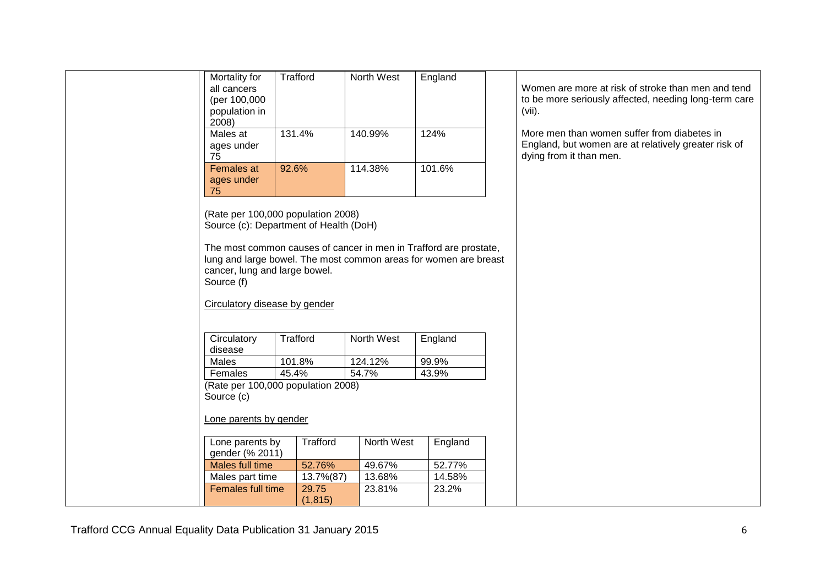| Mortality for<br>all cancers<br>(per 100,000<br>population in<br>2008)                                                                                                                                                | Trafford           | North West       | England         | Women are more at risk of stroke than men and tend<br>to be more seriously affected, needing long-term care<br>$(vii)$ .       |
|-----------------------------------------------------------------------------------------------------------------------------------------------------------------------------------------------------------------------|--------------------|------------------|-----------------|--------------------------------------------------------------------------------------------------------------------------------|
| Males at<br>ages under<br>75                                                                                                                                                                                          | 131.4%             | 140.99%          | 124%            | More men than women suffer from diabetes in<br>England, but women are at relatively greater risk of<br>dying from it than men. |
| Females at<br>ages under<br>75                                                                                                                                                                                        | 92.6%              | 114.38%          | 101.6%          |                                                                                                                                |
| (Rate per 100,000 population 2008)<br>Source (c): Department of Health (DoH)                                                                                                                                          |                    |                  |                 |                                                                                                                                |
| The most common causes of cancer in men in Trafford are prostate,<br>lung and large bowel. The most common areas for women are breast<br>cancer, lung and large bowel.<br>Source (f)<br>Circulatory disease by gender |                    |                  |                 |                                                                                                                                |
| Circulatory                                                                                                                                                                                                           | Trafford           | North West       | England         |                                                                                                                                |
| disease                                                                                                                                                                                                               |                    |                  |                 |                                                                                                                                |
| Males                                                                                                                                                                                                                 | 101.8%             | 124.12%          | 99.9%           |                                                                                                                                |
| Females                                                                                                                                                                                                               | 45.4%              | 54.7%            | 43.9%           |                                                                                                                                |
| (Rate per 100,000 population 2008)<br>Source (c)                                                                                                                                                                      |                    |                  |                 |                                                                                                                                |
| Lone parents by gender                                                                                                                                                                                                |                    |                  |                 |                                                                                                                                |
| Lone parents by<br>gender (% 2011)                                                                                                                                                                                    | Trafford           | North West       | England         |                                                                                                                                |
| Males full time                                                                                                                                                                                                       | 52.76%             | 49.67%           | 52.77%          |                                                                                                                                |
| Males part time<br>Females full time                                                                                                                                                                                  | 13.7%(87)<br>29.75 | 13.68%<br>23.81% | 14.58%<br>23.2% |                                                                                                                                |
|                                                                                                                                                                                                                       | (1, 815)           |                  |                 |                                                                                                                                |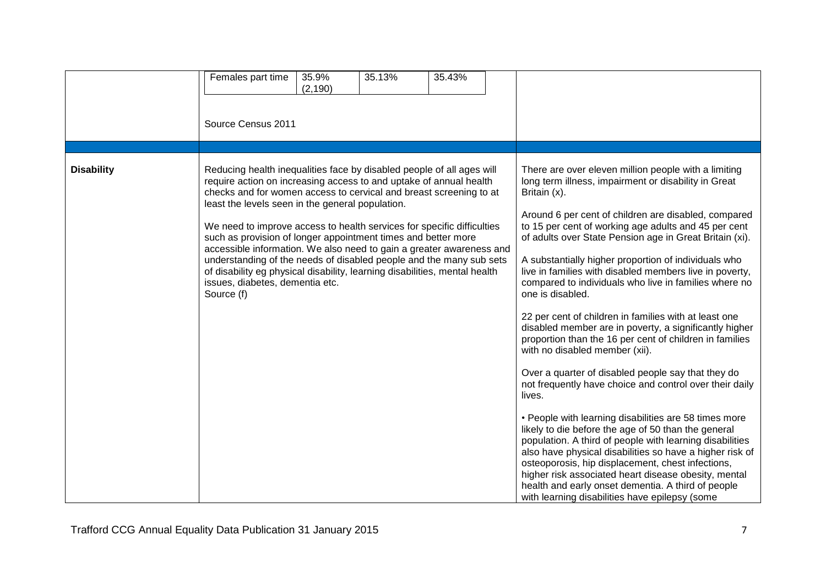|                   | Females part time<br>Source Census 2011                                                                                                                                                                                                                                                                                                                                                                                                                                                                                                                                                                                                                                                        | 35.9%<br>(2, 190) | 35.13% | 35.43% |                                                                                                                                                                                                                                                                                                                                                                                                                                                                                                                                                                                                                                                                                                                                                                                                                                                                                                                                                                                                                                                                                                                                                                                                                                                                                                                 |
|-------------------|------------------------------------------------------------------------------------------------------------------------------------------------------------------------------------------------------------------------------------------------------------------------------------------------------------------------------------------------------------------------------------------------------------------------------------------------------------------------------------------------------------------------------------------------------------------------------------------------------------------------------------------------------------------------------------------------|-------------------|--------|--------|-----------------------------------------------------------------------------------------------------------------------------------------------------------------------------------------------------------------------------------------------------------------------------------------------------------------------------------------------------------------------------------------------------------------------------------------------------------------------------------------------------------------------------------------------------------------------------------------------------------------------------------------------------------------------------------------------------------------------------------------------------------------------------------------------------------------------------------------------------------------------------------------------------------------------------------------------------------------------------------------------------------------------------------------------------------------------------------------------------------------------------------------------------------------------------------------------------------------------------------------------------------------------------------------------------------------|
| <b>Disability</b> | Reducing health inequalities face by disabled people of all ages will<br>require action on increasing access to and uptake of annual health<br>checks and for women access to cervical and breast screening to at<br>least the levels seen in the general population.<br>We need to improve access to health services for specific difficulties<br>such as provision of longer appointment times and better more<br>accessible information. We also need to gain a greater awareness and<br>understanding of the needs of disabled people and the many sub sets<br>of disability eg physical disability, learning disabilities, mental health<br>issues, diabetes, dementia etc.<br>Source (f) |                   |        |        | There are over eleven million people with a limiting<br>long term illness, impairment or disability in Great<br>Britain (x).<br>Around 6 per cent of children are disabled, compared<br>to 15 per cent of working age adults and 45 per cent<br>of adults over State Pension age in Great Britain (xi).<br>A substantially higher proportion of individuals who<br>live in families with disabled members live in poverty,<br>compared to individuals who live in families where no<br>one is disabled.<br>22 per cent of children in families with at least one<br>disabled member are in poverty, a significantly higher<br>proportion than the 16 per cent of children in families<br>with no disabled member (xii).<br>Over a quarter of disabled people say that they do<br>not frequently have choice and control over their daily<br>lives.<br>• People with learning disabilities are 58 times more<br>likely to die before the age of 50 than the general<br>population. A third of people with learning disabilities<br>also have physical disabilities so have a higher risk of<br>osteoporosis, hip displacement, chest infections,<br>higher risk associated heart disease obesity, mental<br>health and early onset dementia. A third of people<br>with learning disabilities have epilepsy (some |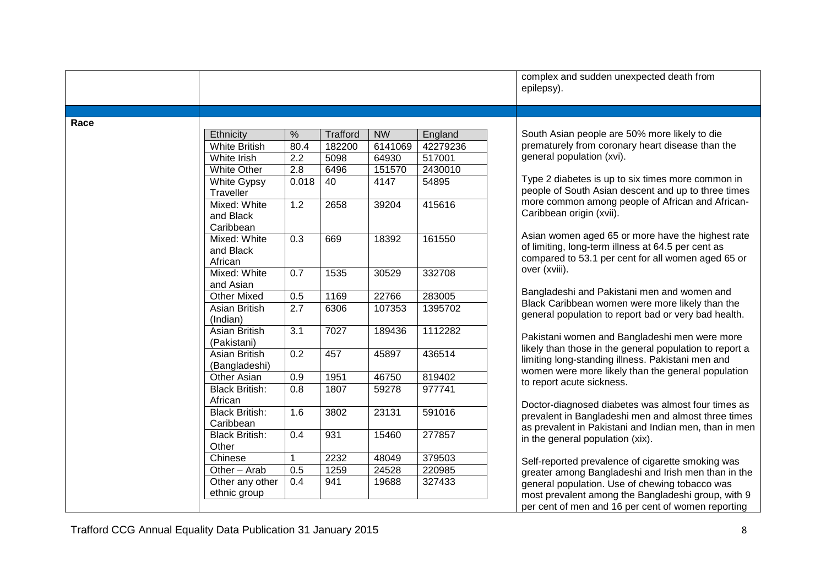| Race | Ethnicity<br><b>White British</b><br>White Irish<br>White Other<br><b>White Gypsy</b><br>Traveller | $\%$<br>80.4<br>2.2<br>2.8<br>0.018 | <b>Trafford</b><br>182200<br>5098 | <b>NW</b><br>6141069 | England  |                                                                                                                                                               |
|------|----------------------------------------------------------------------------------------------------|-------------------------------------|-----------------------------------|----------------------|----------|---------------------------------------------------------------------------------------------------------------------------------------------------------------|
|      |                                                                                                    |                                     |                                   |                      |          |                                                                                                                                                               |
|      |                                                                                                    |                                     |                                   |                      |          | South Asian people are 50% more likely to die                                                                                                                 |
|      |                                                                                                    |                                     |                                   |                      | 42279236 | prematurely from coronary heart disease than the<br>general population (xvi).                                                                                 |
|      |                                                                                                    |                                     |                                   | 64930                | 517001   |                                                                                                                                                               |
|      |                                                                                                    |                                     | 6496                              | 151570               | 2430010  | Type 2 diabetes is up to six times more common in                                                                                                             |
|      |                                                                                                    |                                     | 40                                | 4147                 | 54895    | people of South Asian descent and up to three times                                                                                                           |
|      | Mixed: White<br>and Black<br>Caribbean                                                             | 1.2                                 | 2658                              | 39204                | 415616   | more common among people of African and African-<br>Caribbean origin (xvii).                                                                                  |
|      | Mixed: White<br>and Black<br>African                                                               | 0.3                                 | 669                               | 18392                | 161550   | Asian women aged 65 or more have the highest rate<br>of limiting, long-term illness at 64.5 per cent as<br>compared to 53.1 per cent for all women aged 65 or |
|      | Mixed: White<br>and Asian                                                                          | 0.7                                 | 1535                              | 30529                | 332708   | over (xviii).                                                                                                                                                 |
|      | <b>Other Mixed</b>                                                                                 | 0.5                                 | 1169                              | 22766                | 283005   | Bangladeshi and Pakistani men and women and                                                                                                                   |
|      | Asian British<br>(Indian)                                                                          | 2.7                                 | 6306                              | 107353               | 1395702  | Black Caribbean women were more likely than the<br>general population to report bad or very bad health.                                                       |
|      | Asian British<br>(Pakistani)                                                                       | $\overline{3.1}$                    | 7027                              | 189436               | 1112282  | Pakistani women and Bangladeshi men were more                                                                                                                 |
|      | Asian British<br>(Bangladeshi)                                                                     | 0.2                                 | 457                               | 45897                | 436514   | likely than those in the general population to report a<br>limiting long-standing illness. Pakistani men and                                                  |
|      | Other Asian                                                                                        | 0.9                                 | 1951                              | 46750                | 819402   | women were more likely than the general population                                                                                                            |
|      | <b>Black British:</b><br>African                                                                   | 0.8                                 | 1807                              | 59278                | 977741   | to report acute sickness.                                                                                                                                     |
|      | <b>Black British:</b><br>Caribbean                                                                 | 1.6                                 | 3802                              | 23131                | 591016   | Doctor-diagnosed diabetes was almost four times as<br>prevalent in Bangladeshi men and almost three times                                                     |
|      | <b>Black British:</b><br>Other                                                                     | 0.4                                 | 931                               | 15460                | 277857   | as prevalent in Pakistani and Indian men, than in men<br>in the general population (xix).                                                                     |
|      | Chinese                                                                                            |                                     | 2232                              | 48049                | 379503   |                                                                                                                                                               |
|      | Other - Arab                                                                                       | 0.5                                 | 1259                              | 24528                | 220985   | Self-reported prevalence of cigarette smoking was<br>greater among Bangladeshi and Irish men than in the                                                      |
|      | Other any other<br>ethnic group                                                                    | 0.4                                 | 941                               | 19688                | 327433   | general population. Use of chewing tobacco was<br>most prevalent among the Bangladeshi group, with 9                                                          |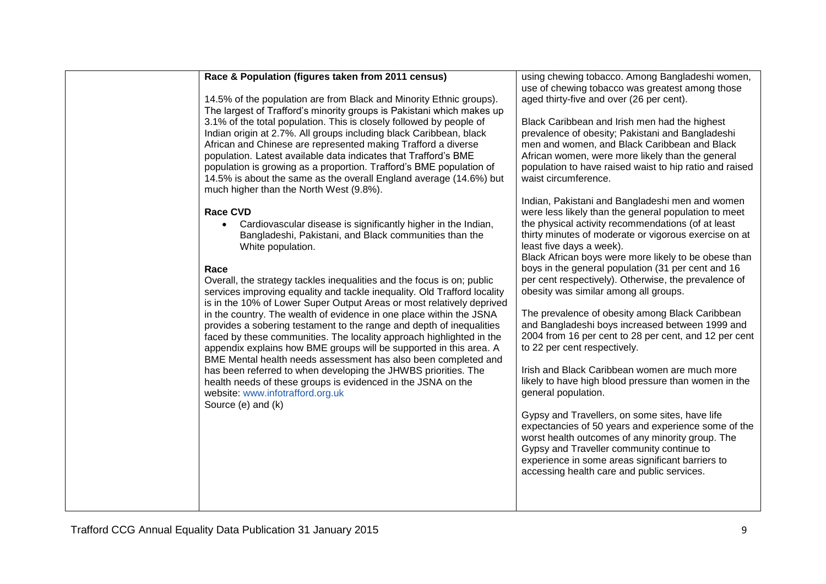#### **Race & Population (figures taken from 2011 census)**

14.5% of the population are from Black and Minority Ethnic groups). The largest of Trafford's minority groups is Pakistani which makes up 3.1% of the total population. This is closely followed by people of Indian origin at 2.7%. All groups including black Caribbean, black African and Chinese are represented making Trafford a diverse population. Latest available data indicates that Trafford's BME population is growing as a proportion. Trafford's BME population of 14.5% is about the same as the overall England average (14.6%) but much higher than the North West (9.8%).

### **Race CVD**

 Cardiovascular disease is significantly higher in the Indian, Bangladeshi, Pakistani, and Black communities than the White population.

### **Race**

Overall, the strategy tackles inequalities and the focus is on; public services improving equality and tackle inequality. Old Trafford locality is in the 10% of Lower Super Output Areas or most relatively deprived in the country. The wealth of evidence in one place within the JSNA provides a sobering testament to the range and depth of inequalities faced by these communities. The locality approach highlighted in the appendix explains how BME groups will be supported in this area. A BME Mental health needs assessment has also been completed and has been referred to when developing the JHWBS priorities. The health needs of these groups is evidenced in the JSNA on the website: [www.infotrafford.org.uk](http://www.infotrafford.org.uk/) Source (e) and (k)

using chewing tobacco. Among Bangladeshi women, use of chewing tobacco was greatest among those aged thirty-five and over (26 per cent).

Black Caribbean and Irish men had the highest prevalence of obesity; Pakistani and Bangladeshi men and women, and Black Caribbean and Black African women, were more likely than the general population to have raised waist to hip ratio and raised waist circumference.

Indian, Pakistani and Bangladeshi men and women were less likely than the general population to meet the physical activity recommendations (of at least thirty minutes of moderate or vigorous exercise on at least five days a week).

Black African boys were more likely to be obese than boys in the general population (31 per cent and 16 per cent respectively). Otherwise, the prevalence of obesity was similar among all groups.

The prevalence of obesity among Black Caribbean and Bangladeshi boys increased between 1999 and 2004 from 16 per cent to 28 per cent, and 12 per cent to 22 per cent respectively.

Irish and Black Caribbean women are much more likely to have high blood pressure than women in the general population.

Gypsy and Travellers, on some sites, have life expectancies of 50 years and experience some of the worst health outcomes of any minority group. The Gypsy and Traveller community continue to experience in some areas significant barriers to accessing health care and public services.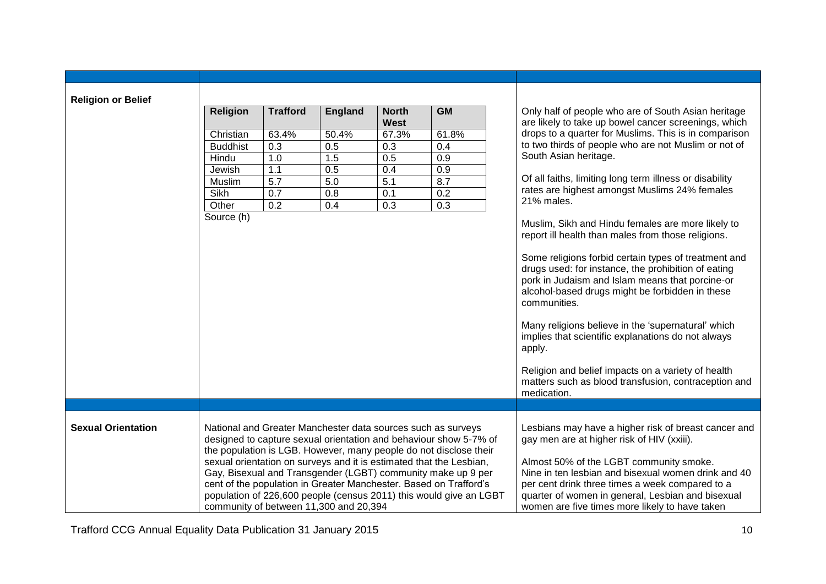| <b>Religion or Belief</b> |                 |                                                                                                                                                                                                                                                                                                                                                                                                                                                                                                                                    |                |                             |                                                                                                                                                                                                                                                                                                                                                                |                                                                                                                                                                                                                                                                                                                                                                                                                                                                                                                                                                                  |
|---------------------------|-----------------|------------------------------------------------------------------------------------------------------------------------------------------------------------------------------------------------------------------------------------------------------------------------------------------------------------------------------------------------------------------------------------------------------------------------------------------------------------------------------------------------------------------------------------|----------------|-----------------------------|----------------------------------------------------------------------------------------------------------------------------------------------------------------------------------------------------------------------------------------------------------------------------------------------------------------------------------------------------------------|----------------------------------------------------------------------------------------------------------------------------------------------------------------------------------------------------------------------------------------------------------------------------------------------------------------------------------------------------------------------------------------------------------------------------------------------------------------------------------------------------------------------------------------------------------------------------------|
|                           | <b>Religion</b> | <b>Trafford</b>                                                                                                                                                                                                                                                                                                                                                                                                                                                                                                                    | <b>England</b> | <b>North</b><br><b>West</b> | GM                                                                                                                                                                                                                                                                                                                                                             | Only half of people who are of South Asian heritage<br>are likely to take up bowel cancer screenings, which                                                                                                                                                                                                                                                                                                                                                                                                                                                                      |
|                           | Christian       | 63.4%                                                                                                                                                                                                                                                                                                                                                                                                                                                                                                                              | 50.4%          | 67.3%                       | 61.8%                                                                                                                                                                                                                                                                                                                                                          | drops to a quarter for Muslims. This is in comparison                                                                                                                                                                                                                                                                                                                                                                                                                                                                                                                            |
|                           | <b>Buddhist</b> | 0.3                                                                                                                                                                                                                                                                                                                                                                                                                                                                                                                                | 0.5            | 0.3                         | 0.4                                                                                                                                                                                                                                                                                                                                                            | to two thirds of people who are not Muslim or not of                                                                                                                                                                                                                                                                                                                                                                                                                                                                                                                             |
|                           | Hindu           | 1.0                                                                                                                                                                                                                                                                                                                                                                                                                                                                                                                                | 1.5            | 0.5                         | 0.9                                                                                                                                                                                                                                                                                                                                                            | South Asian heritage.                                                                                                                                                                                                                                                                                                                                                                                                                                                                                                                                                            |
|                           | Jewish          | 1.1                                                                                                                                                                                                                                                                                                                                                                                                                                                                                                                                | 0.5            | 0.4                         | 0.9                                                                                                                                                                                                                                                                                                                                                            |                                                                                                                                                                                                                                                                                                                                                                                                                                                                                                                                                                                  |
|                           | Muslim          | 5.7                                                                                                                                                                                                                                                                                                                                                                                                                                                                                                                                | 5.0            | 5.1                         | 8.7                                                                                                                                                                                                                                                                                                                                                            | Of all faiths, limiting long term illness or disability                                                                                                                                                                                                                                                                                                                                                                                                                                                                                                                          |
|                           | Sikh            | 0.7                                                                                                                                                                                                                                                                                                                                                                                                                                                                                                                                | 0.8            | 0.1                         | 0.2                                                                                                                                                                                                                                                                                                                                                            | rates are highest amongst Muslims 24% females                                                                                                                                                                                                                                                                                                                                                                                                                                                                                                                                    |
|                           | Other           | 0.2                                                                                                                                                                                                                                                                                                                                                                                                                                                                                                                                | 0.4            | 0.3                         | 0.3                                                                                                                                                                                                                                                                                                                                                            | 21% males.                                                                                                                                                                                                                                                                                                                                                                                                                                                                                                                                                                       |
|                           | Source (h)      |                                                                                                                                                                                                                                                                                                                                                                                                                                                                                                                                    |                |                             |                                                                                                                                                                                                                                                                                                                                                                | Muslim, Sikh and Hindu females are more likely to<br>report ill health than males from those religions.<br>Some religions forbid certain types of treatment and<br>drugs used: for instance, the prohibition of eating<br>pork in Judaism and Islam means that porcine-or<br>alcohol-based drugs might be forbidden in these<br>communities.<br>Many religions believe in the 'supernatural' which<br>implies that scientific explanations do not always<br>apply.<br>Religion and belief impacts on a variety of health<br>matters such as blood transfusion, contraception and |
|                           |                 |                                                                                                                                                                                                                                                                                                                                                                                                                                                                                                                                    |                |                             |                                                                                                                                                                                                                                                                                                                                                                | medication.                                                                                                                                                                                                                                                                                                                                                                                                                                                                                                                                                                      |
| <b>Sexual Orientation</b> |                 | National and Greater Manchester data sources such as surveys<br>designed to capture sexual orientation and behaviour show 5-7% of<br>the population is LGB. However, many people do not disclose their<br>sexual orientation on surveys and it is estimated that the Lesbian,<br>Gay, Bisexual and Transgender (LGBT) community make up 9 per<br>cent of the population in Greater Manchester. Based on Trafford's<br>population of 226,600 people (census 2011) this would give an LGBT<br>community of between 11,300 and 20,394 |                |                             | Lesbians may have a higher risk of breast cancer and<br>gay men are at higher risk of HIV (xxiii).<br>Almost 50% of the LGBT community smoke.<br>Nine in ten lesbian and bisexual women drink and 40<br>per cent drink three times a week compared to a<br>quarter of women in general, Lesbian and bisexual<br>women are five times more likely to have taken |                                                                                                                                                                                                                                                                                                                                                                                                                                                                                                                                                                                  |

Trafford CCG Annual Equality Data Publication 31 January 2015 10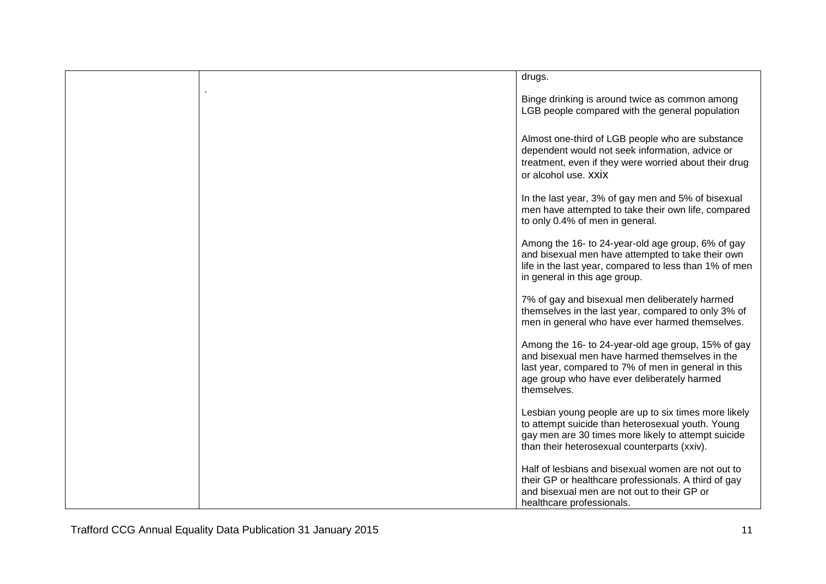|  | drugs.                                                                                                                                                                                                                    |
|--|---------------------------------------------------------------------------------------------------------------------------------------------------------------------------------------------------------------------------|
|  | Binge drinking is around twice as common among<br>LGB people compared with the general population                                                                                                                         |
|  | Almost one-third of LGB people who are substance<br>dependent would not seek information, advice or<br>treatment, even if they were worried about their drug<br>or alcohol use, XXIX                                      |
|  | In the last year, 3% of gay men and 5% of bisexual<br>men have attempted to take their own life, compared<br>to only 0.4% of men in general.                                                                              |
|  | Among the 16- to 24-year-old age group, 6% of gay<br>and bisexual men have attempted to take their own<br>life in the last year, compared to less than 1% of men<br>in general in this age group.                         |
|  | 7% of gay and bisexual men deliberately harmed<br>themselves in the last year, compared to only 3% of<br>men in general who have ever harmed themselves.                                                                  |
|  | Among the 16- to 24-year-old age group, 15% of gay<br>and bisexual men have harmed themselves in the<br>last year, compared to 7% of men in general in this<br>age group who have ever deliberately harmed<br>themselves. |
|  | Lesbian young people are up to six times more likely<br>to attempt suicide than heterosexual youth. Young<br>gay men are 30 times more likely to attempt suicide<br>than their heterosexual counterparts (xxiv).          |
|  | Half of lesbians and bisexual women are not out to<br>their GP or healthcare professionals. A third of gay<br>and bisexual men are not out to their GP or<br>healthcare professionals.                                    |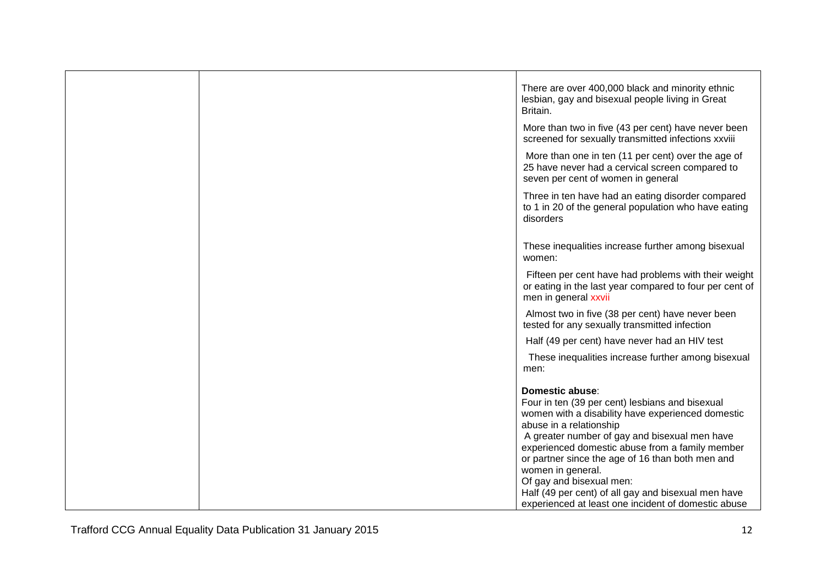|  | There are over 400,000 black and minority ethnic<br>lesbian, gay and bisexual people living in Great<br>Britain.<br>More than two in five (43 per cent) have never been                                                                                                                                                                                                                                                                                                   |
|--|---------------------------------------------------------------------------------------------------------------------------------------------------------------------------------------------------------------------------------------------------------------------------------------------------------------------------------------------------------------------------------------------------------------------------------------------------------------------------|
|  | screened for sexually transmitted infections xxviii                                                                                                                                                                                                                                                                                                                                                                                                                       |
|  | More than one in ten (11 per cent) over the age of<br>25 have never had a cervical screen compared to<br>seven per cent of women in general                                                                                                                                                                                                                                                                                                                               |
|  | Three in ten have had an eating disorder compared<br>to 1 in 20 of the general population who have eating<br>disorders                                                                                                                                                                                                                                                                                                                                                    |
|  | These inequalities increase further among bisexual<br>women:                                                                                                                                                                                                                                                                                                                                                                                                              |
|  | Fifteen per cent have had problems with their weight<br>or eating in the last year compared to four per cent of<br>men in general xxvii                                                                                                                                                                                                                                                                                                                                   |
|  | Almost two in five (38 per cent) have never been<br>tested for any sexually transmitted infection                                                                                                                                                                                                                                                                                                                                                                         |
|  | Half (49 per cent) have never had an HIV test                                                                                                                                                                                                                                                                                                                                                                                                                             |
|  | These inequalities increase further among bisexual<br>men:                                                                                                                                                                                                                                                                                                                                                                                                                |
|  | Domestic abuse:<br>Four in ten (39 per cent) lesbians and bisexual<br>women with a disability have experienced domestic<br>abuse in a relationship<br>A greater number of gay and bisexual men have<br>experienced domestic abuse from a family member<br>or partner since the age of 16 than both men and<br>women in general.<br>Of gay and bisexual men:<br>Half (49 per cent) of all gay and bisexual men have<br>experienced at least one incident of domestic abuse |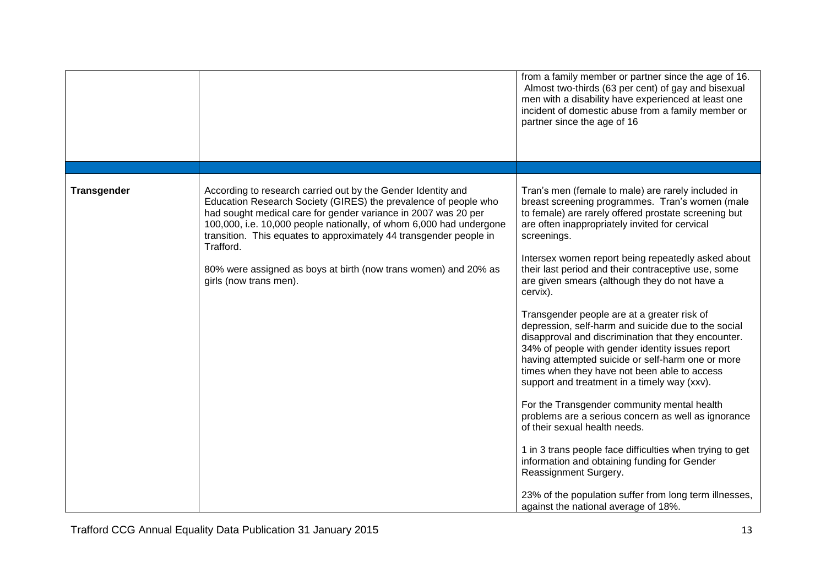|                    |                                                                                                                                                                                                                                                                                                                                                                                                                                                          | from a family member or partner since the age of 16.<br>Almost two-thirds (63 per cent) of gay and bisexual<br>men with a disability have experienced at least one<br>incident of domestic abuse from a family member or<br>partner since the age of 16                                                                                                                                                                                                                                                                                                                                                                                                                                                                                                                                                                                                                                                                                                                                                                                                                                                                                                      |
|--------------------|----------------------------------------------------------------------------------------------------------------------------------------------------------------------------------------------------------------------------------------------------------------------------------------------------------------------------------------------------------------------------------------------------------------------------------------------------------|--------------------------------------------------------------------------------------------------------------------------------------------------------------------------------------------------------------------------------------------------------------------------------------------------------------------------------------------------------------------------------------------------------------------------------------------------------------------------------------------------------------------------------------------------------------------------------------------------------------------------------------------------------------------------------------------------------------------------------------------------------------------------------------------------------------------------------------------------------------------------------------------------------------------------------------------------------------------------------------------------------------------------------------------------------------------------------------------------------------------------------------------------------------|
| <b>Transgender</b> | According to research carried out by the Gender Identity and<br>Education Research Society (GIRES) the prevalence of people who<br>had sought medical care for gender variance in 2007 was 20 per<br>100,000, i.e. 10,000 people nationally, of whom 6,000 had undergone<br>transition. This equates to approximately 44 transgender people in<br>Trafford.<br>80% were assigned as boys at birth (now trans women) and 20% as<br>girls (now trans men). | Tran's men (female to male) are rarely included in<br>breast screening programmes. Tran's women (male<br>to female) are rarely offered prostate screening but<br>are often inappropriately invited for cervical<br>screenings.<br>Intersex women report being repeatedly asked about<br>their last period and their contraceptive use, some<br>are given smears (although they do not have a<br>cervix).<br>Transgender people are at a greater risk of<br>depression, self-harm and suicide due to the social<br>disapproval and discrimination that they encounter.<br>34% of people with gender identity issues report<br>having attempted suicide or self-harm one or more<br>times when they have not been able to access<br>support and treatment in a timely way (xxv).<br>For the Transgender community mental health<br>problems are a serious concern as well as ignorance<br>of their sexual health needs.<br>1 in 3 trans people face difficulties when trying to get<br>information and obtaining funding for Gender<br>Reassignment Surgery.<br>23% of the population suffer from long term illnesses,<br>against the national average of 18%. |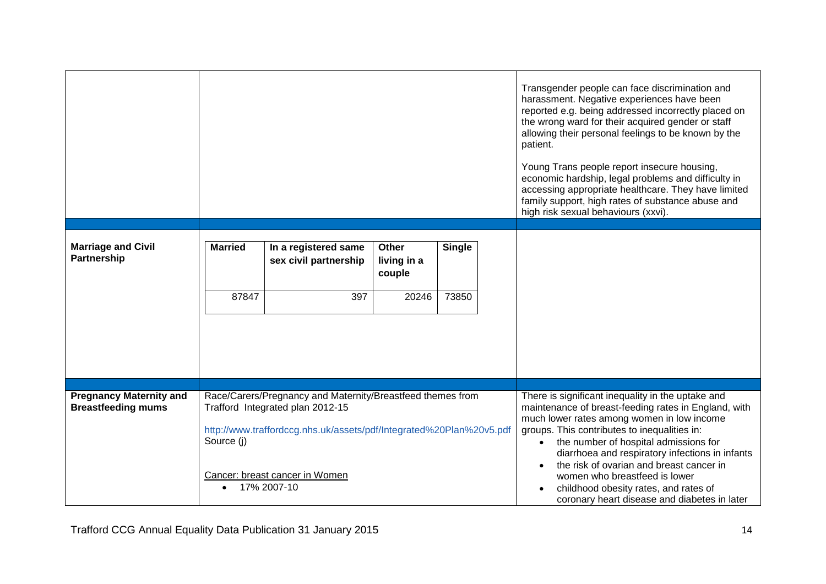|                                                             |                                                                                                |                       |                       |                                                                                                                                                                    |                                                                                                           | Transgender people can face discrimination and<br>harassment. Negative experiences have been<br>reported e.g. being addressed incorrectly placed on<br>the wrong ward for their acquired gender or staff<br>allowing their personal feelings to be known by the<br>patient.<br>Young Trans people report insecure housing,<br>economic hardship, legal problems and difficulty in<br>accessing appropriate healthcare. They have limited<br>family support, high rates of substance abuse and<br>high risk sexual behaviours (xxvi). |
|-------------------------------------------------------------|------------------------------------------------------------------------------------------------|-----------------------|-----------------------|--------------------------------------------------------------------------------------------------------------------------------------------------------------------|-----------------------------------------------------------------------------------------------------------|--------------------------------------------------------------------------------------------------------------------------------------------------------------------------------------------------------------------------------------------------------------------------------------------------------------------------------------------------------------------------------------------------------------------------------------------------------------------------------------------------------------------------------------|
| <b>Marriage and Civil</b>                                   | <b>Married</b>                                                                                 | In a registered same  | <b>Other</b>          | <b>Single</b>                                                                                                                                                      |                                                                                                           |                                                                                                                                                                                                                                                                                                                                                                                                                                                                                                                                      |
| Partnership                                                 |                                                                                                | sex civil partnership | living in a<br>couple |                                                                                                                                                                    |                                                                                                           |                                                                                                                                                                                                                                                                                                                                                                                                                                                                                                                                      |
|                                                             | 87847                                                                                          | 397                   | 20246                 | 73850                                                                                                                                                              |                                                                                                           |                                                                                                                                                                                                                                                                                                                                                                                                                                                                                                                                      |
|                                                             |                                                                                                |                       |                       |                                                                                                                                                                    |                                                                                                           |                                                                                                                                                                                                                                                                                                                                                                                                                                                                                                                                      |
|                                                             |                                                                                                |                       |                       |                                                                                                                                                                    |                                                                                                           |                                                                                                                                                                                                                                                                                                                                                                                                                                                                                                                                      |
|                                                             |                                                                                                |                       |                       |                                                                                                                                                                    |                                                                                                           |                                                                                                                                                                                                                                                                                                                                                                                                                                                                                                                                      |
| <b>Pregnancy Maternity and</b><br><b>Breastfeeding mums</b> | Race/Carers/Pregnancy and Maternity/Breastfeed themes from<br>Trafford Integrated plan 2012-15 |                       |                       |                                                                                                                                                                    | There is significant inequality in the uptake and<br>maintenance of breast-feeding rates in England, with |                                                                                                                                                                                                                                                                                                                                                                                                                                                                                                                                      |
|                                                             | http://www.traffordccg.nhs.uk/assets/pdf/Integrated%20Plan%20v5.pdf                            |                       |                       |                                                                                                                                                                    |                                                                                                           | much lower rates among women in low income<br>groups. This contributes to inequalities in:                                                                                                                                                                                                                                                                                                                                                                                                                                           |
|                                                             | Source (j)                                                                                     |                       |                       |                                                                                                                                                                    | the number of hospital admissions for<br>$\bullet$<br>diarrhoea and respiratory infections in infants     |                                                                                                                                                                                                                                                                                                                                                                                                                                                                                                                                      |
|                                                             | Cancer: breast cancer in Women<br>17% 2007-10<br>$\bullet$                                     |                       |                       | the risk of ovarian and breast cancer in<br>women who breastfeed is lower<br>childhood obesity rates, and rates of<br>coronary heart disease and diabetes in later |                                                                                                           |                                                                                                                                                                                                                                                                                                                                                                                                                                                                                                                                      |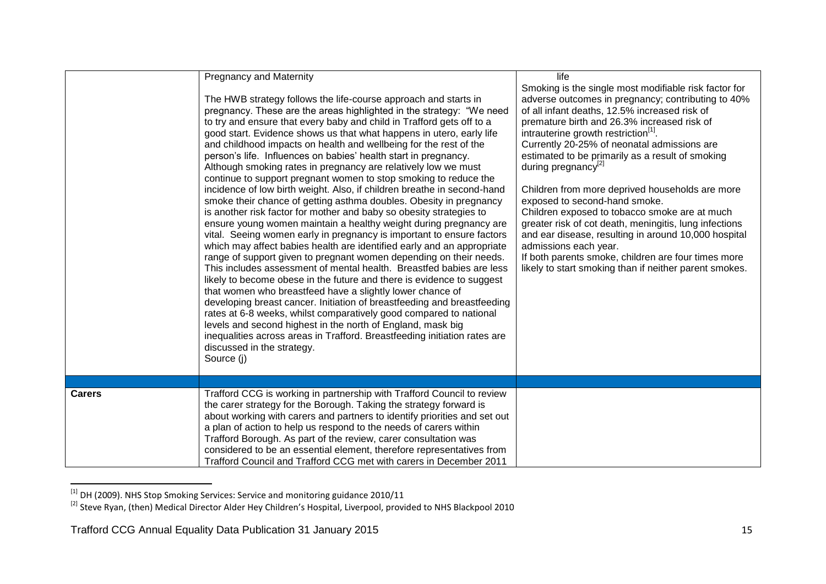|               | <b>Pregnancy and Maternity</b><br>The HWB strategy follows the life-course approach and starts in<br>pregnancy. These are the areas highlighted in the strategy: "We need<br>to try and ensure that every baby and child in Trafford gets off to a<br>good start. Evidence shows us that what happens in utero, early life<br>and childhood impacts on health and wellbeing for the rest of the<br>person's life. Influences on babies' health start in pregnancy.<br>Although smoking rates in pregnancy are relatively low we must<br>continue to support pregnant women to stop smoking to reduce the<br>incidence of low birth weight. Also, if children breathe in second-hand<br>smoke their chance of getting asthma doubles. Obesity in pregnancy<br>is another risk factor for mother and baby so obesity strategies to                  | life<br>Smoking is the single most modifiable risk factor for<br>adverse outcomes in pregnancy; contributing to 40%<br>of all infant deaths, 12.5% increased risk of<br>premature birth and 26.3% increased risk of<br>intrauterine growth restriction <sup>[1]</sup> .<br>Currently 20-25% of neonatal admissions are<br>estimated to be primarily as a result of smoking<br>during pregnancy <sup>[2]</sup><br>Children from more deprived households are more<br>exposed to second-hand smoke.<br>Children exposed to tobacco smoke are at much |
|---------------|---------------------------------------------------------------------------------------------------------------------------------------------------------------------------------------------------------------------------------------------------------------------------------------------------------------------------------------------------------------------------------------------------------------------------------------------------------------------------------------------------------------------------------------------------------------------------------------------------------------------------------------------------------------------------------------------------------------------------------------------------------------------------------------------------------------------------------------------------|----------------------------------------------------------------------------------------------------------------------------------------------------------------------------------------------------------------------------------------------------------------------------------------------------------------------------------------------------------------------------------------------------------------------------------------------------------------------------------------------------------------------------------------------------|
|               | ensure young women maintain a healthy weight during pregnancy are<br>vital. Seeing women early in pregnancy is important to ensure factors<br>which may affect babies health are identified early and an appropriate<br>range of support given to pregnant women depending on their needs.<br>This includes assessment of mental health. Breastfed babies are less<br>likely to become obese in the future and there is evidence to suggest<br>that women who breastfeed have a slightly lower chance of<br>developing breast cancer. Initiation of breastfeeding and breastfeeding<br>rates at 6-8 weeks, whilst comparatively good compared to national<br>levels and second highest in the north of England, mask big<br>inequalities across areas in Trafford. Breastfeeding initiation rates are<br>discussed in the strategy.<br>Source (j) | greater risk of cot death, meningitis, lung infections<br>and ear disease, resulting in around 10,000 hospital<br>admissions each year.<br>If both parents smoke, children are four times more<br>likely to start smoking than if neither parent smokes.                                                                                                                                                                                                                                                                                           |
| <b>Carers</b> | Trafford CCG is working in partnership with Trafford Council to review<br>the carer strategy for the Borough. Taking the strategy forward is<br>about working with carers and partners to identify priorities and set out                                                                                                                                                                                                                                                                                                                                                                                                                                                                                                                                                                                                                         |                                                                                                                                                                                                                                                                                                                                                                                                                                                                                                                                                    |
|               | a plan of action to help us respond to the needs of carers within<br>Trafford Borough. As part of the review, carer consultation was<br>considered to be an essential element, therefore representatives from<br>Trafford Council and Trafford CCG met with carers in December 2011                                                                                                                                                                                                                                                                                                                                                                                                                                                                                                                                                               |                                                                                                                                                                                                                                                                                                                                                                                                                                                                                                                                                    |

 $^{[1]}$  DH (2009). NHS Stop Smoking Services: Service and monitoring guidance 2010/11

 $\overline{a}$ 

<sup>&</sup>lt;sup>[2]</sup> Steve Ryan, (then) Medical Director Alder Hey Children's Hospital, Liverpool, provided to NHS Blackpool 2010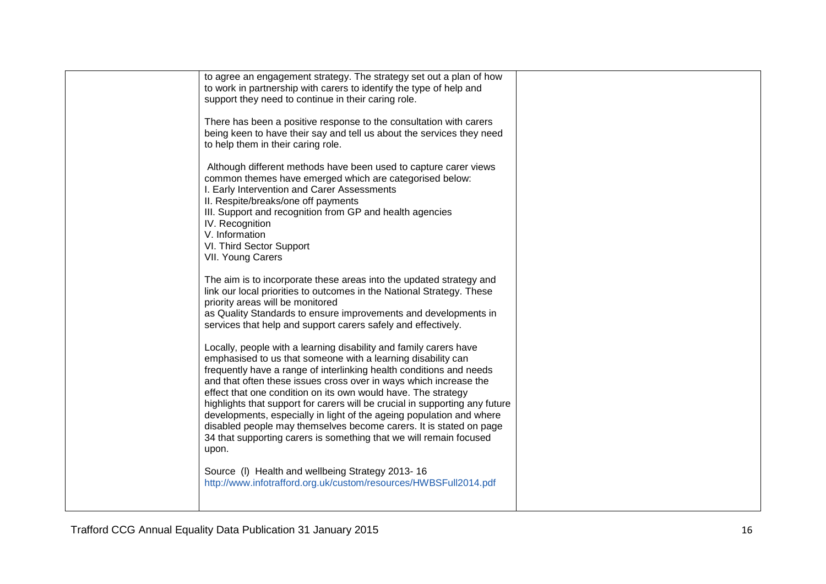| to agree an engagement strategy. The strategy set out a plan of how<br>to work in partnership with carers to identify the type of help and<br>support they need to continue in their caring role.                                                                                                                                                                                                                                                                                                                                                                                                                                                          |  |
|------------------------------------------------------------------------------------------------------------------------------------------------------------------------------------------------------------------------------------------------------------------------------------------------------------------------------------------------------------------------------------------------------------------------------------------------------------------------------------------------------------------------------------------------------------------------------------------------------------------------------------------------------------|--|
| There has been a positive response to the consultation with carers<br>being keen to have their say and tell us about the services they need<br>to help them in their caring role.                                                                                                                                                                                                                                                                                                                                                                                                                                                                          |  |
| Although different methods have been used to capture carer views<br>common themes have emerged which are categorised below:<br>I. Early Intervention and Carer Assessments<br>II. Respite/breaks/one off payments<br>III. Support and recognition from GP and health agencies<br>IV. Recognition<br>V. Information<br>VI. Third Sector Support<br>VII. Young Carers                                                                                                                                                                                                                                                                                        |  |
| The aim is to incorporate these areas into the updated strategy and<br>link our local priorities to outcomes in the National Strategy. These<br>priority areas will be monitored<br>as Quality Standards to ensure improvements and developments in<br>services that help and support carers safely and effectively.                                                                                                                                                                                                                                                                                                                                       |  |
| Locally, people with a learning disability and family carers have<br>emphasised to us that someone with a learning disability can<br>frequently have a range of interlinking health conditions and needs<br>and that often these issues cross over in ways which increase the<br>effect that one condition on its own would have. The strategy<br>highlights that support for carers will be crucial in supporting any future<br>developments, especially in light of the ageing population and where<br>disabled people may themselves become carers. It is stated on page<br>34 that supporting carers is something that we will remain focused<br>upon. |  |
| Source (I) Health and wellbeing Strategy 2013-16<br>http://www.infotrafford.org.uk/custom/resources/HWBSFull2014.pdf                                                                                                                                                                                                                                                                                                                                                                                                                                                                                                                                       |  |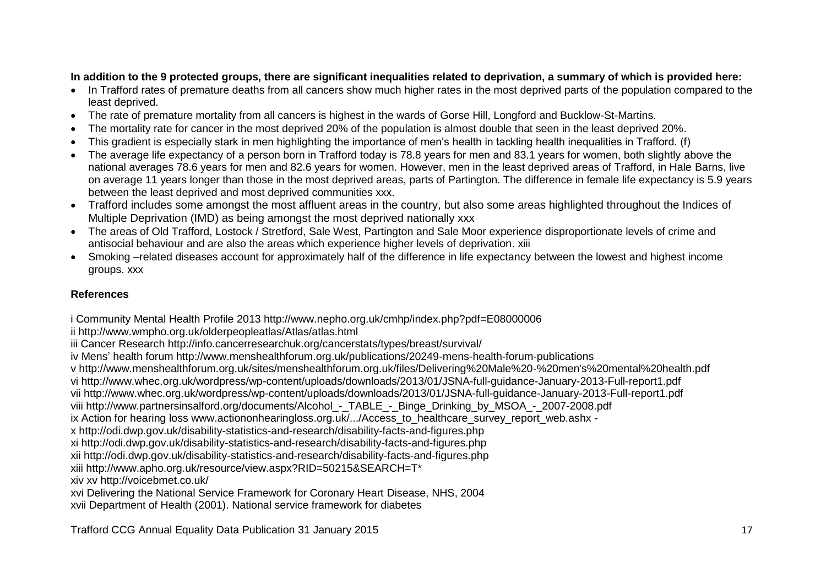## **In addition to the 9 protected groups, there are significant inequalities related to deprivation, a summary of which is provided here:**

- In Trafford rates of premature deaths from all cancers show much higher rates in the most deprived parts of the population compared to the least deprived.
- The rate of premature mortality from all cancers is highest in the wards of Gorse Hill, Longford and Bucklow-St-Martins.
- The mortality rate for cancer in the most deprived 20% of the population is almost double that seen in the least deprived 20%.
- This gradient is especially stark in men highlighting the importance of men's health in tackling health inequalities in Trafford. (f)
- The average life expectancy of a person born in Trafford today is 78.8 years for men and 83.1 years for women, both slightly above the national averages 78.6 years for men and 82.6 years for women. However, men in the least deprived areas of Trafford, in Hale Barns, live on average 11 years longer than those in the most deprived areas, parts of Partington. The difference in female life expectancy is 5.9 years between the least deprived and most deprived communities xxx.
- Trafford includes some amongst the most affluent areas in the country, but also some areas highlighted throughout the Indices of Multiple Deprivation (IMD) as being amongst the most deprived nationally xxx
- The areas of Old Trafford, Lostock / Stretford, Sale West, Partington and Sale Moor experience disproportionate levels of crime and antisocial behaviour and are also the areas which experience higher levels of deprivation. xiii
- Smoking –related diseases account for approximately half of the difference in life expectancy between the lowest and highest income groups. xxx

## **References**

i Community Mental Health Profile 2013 http://www.nepho.org.uk/cmhp/index.php?pdf=E08000006

ii http://www.wmpho.org.uk/olderpeopleatlas/Atlas/atlas.html

```
iii Cancer Research http://info.cancerresearchuk.org/cancerstats/types/breast/survival/
```
- iv Mens' health forum http://www.menshealthforum.org.uk/publications/20249-mens-health-forum-publications
- v http://www.menshealthforum.org.uk/sites/menshealthforum.org.uk/files/Delivering%20Male%20-%20men's%20mental%20health.pdf

vi http://www.whec.org.uk/wordpress/wp-content/uploads/downloads/2013/01/JSNA-full-guidance-January-2013-Full-report1.pdf

vii http://www.whec.org.uk/wordpress/wp-content/uploads/downloads/2013/01/JSNA-full-guidance-January-2013-Full-report1.pdf

viii http://www.partnersinsalford.org/documents/Alcohol - TABLE - Binge Drinking by MSOA - 2007-2008.pdf

ix Action for hearing loss www.actiononhearingloss.org.uk/.../Access\_to\_healthcare\_survey\_report\_web.ashx -

x http://odi.dwp.gov.uk/disability-statistics-and-research/disability-facts-and-figures.php

xi http://odi.dwp.gov.uk/disability-statistics-and-research/disability-facts-and-figures.php

xii http://odi.dwp.gov.uk/disability-statistics-and-research/disability-facts-and-figures.php

xiii http://www.apho.org.uk/resource/view.aspx?RID=50215&SEARCH=T\*

xiv xv http://voicebmet.co.uk/

xvi Delivering the National Service Framework for Coronary Heart Disease, NHS, 2004

xvii Department of Health (2001). National service framework for diabetes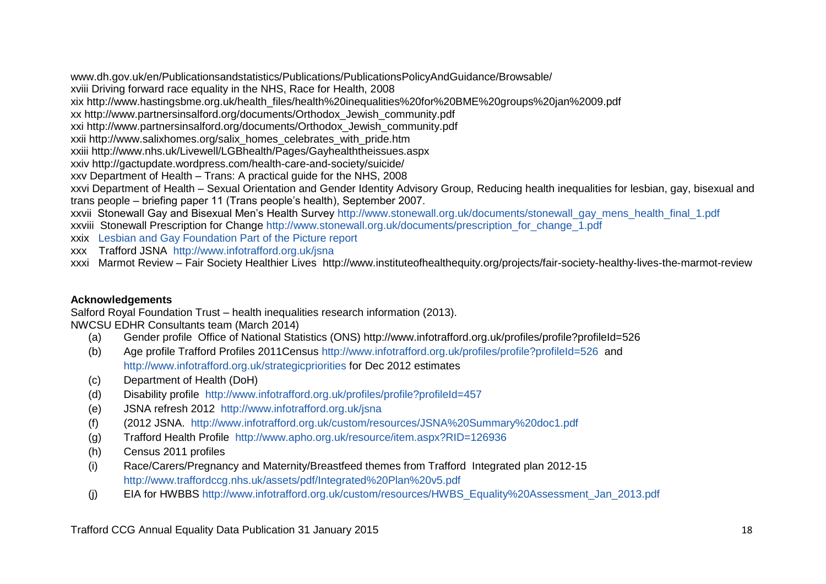www.dh.gov.uk/en/Publicationsandstatistics/Publications/PublicationsPolicyAndGuidance/Browsable/

xviii Driving forward race equality in the NHS, Race for Health, 2008

xix http://www.hastingsbme.org.uk/health\_files/health%20inequalities%20for%20BME%20groups%20jan%2009.pdf

xx http://www.partnersinsalford.org/documents/Orthodox\_Jewish\_community.pdf

xxi http://www.partnersinsalford.org/documents/Orthodox\_Jewish\_community.pdf

xxii http://www.salixhomes.org/salix\_homes\_celebrates\_with\_pride.htm

xxiii http://www.nhs.uk/Livewell/LGBhealth/Pages/Gayhealththeissues.aspx

xxiv http://gactupdate.wordpress.com/health-care-and-society/suicide/

xxv Department of Health – Trans: A practical guide for the NHS, 2008

xxvi Department of Health – Sexual Orientation and Gender Identity Advisory Group, Reducing health inequalities for lesbian, gay, bisexual and trans people – briefing paper 11 (Trans people's health), September 2007.

xxvii Stonewall Gay and Bisexual Men's Health Survey [http://www.stonewall.org.uk/documents/stonewall\\_gay\\_mens\\_health\\_final\\_1.pdf](http://www.stonewall.org.uk/documents/stonewall_gay_mens_health_final_1.pdf)

xxviii Stonewall Prescription for Change [http://www.stonewall.org.uk/documents/prescription\\_for\\_change\\_1.pdf](http://www.stonewall.org.uk/documents/prescription_for_change_1.pdf)

- xxix [Lesbian and Gay Foundation Part of the Picture report](http://www.lgf.org.uk/policy-research/part-of-the-picture/part-of-the-picture-2009-11-report-key-points-and-action-plan/)
- xxx Trafford JSNA <http://www.infotrafford.org.uk/jsna>

xxxi Marmot Review – Fair Society Healthier Lives http://www.instituteofhealthequity.org/projects/fair-society-healthy-lives-the-marmot-review

## **Acknowledgements**

Salford Royal Foundation Trust – health inequalities research information (2013).

NWCSU EDHR Consultants team (March 2014)

- (a) Gender profile Office of National Statistics (ONS) http://www.infotrafford.org.uk/profiles/profile?profileId=526
- (b) Age profile Trafford Profiles 2011Census<http://www.infotrafford.org.uk/profiles/profile?profileId=526>and <http://www.infotrafford.org.uk/strategicpriorities> for Dec 2012 estimates
- (c) Department of Health (DoH)
- (d) Disability profile <http://www.infotrafford.org.uk/profiles/profile?profileId=457>
- (e) JSNA refresh 2012 <http://www.infotrafford.org.uk/jsna>
- (f) (2012 JSNA. <http://www.infotrafford.org.uk/custom/resources/JSNA%20Summary%20doc1.pdf>
- (g) Trafford Health Profile <http://www.apho.org.uk/resource/item.aspx?RID=126936>
- (h) Census 2011 profiles
- (i) Race/Carers/Pregnancy and Maternity/Breastfeed themes from Trafford Integrated plan 2012-15 <http://www.traffordccg.nhs.uk/assets/pdf/Integrated%20Plan%20v5.pdf>
- (j) EIA for HWBBS [http://www.infotrafford.org.uk/custom/resources/HWBS\\_Equality%20Assessment\\_Jan\\_2013.pdf](http://www.infotrafford.org.uk/custom/resources/HWBS_Equality%20Assessment_Jan_2013.pdf)

Trafford CCG Annual Equality Data Publication 31 January 2015 18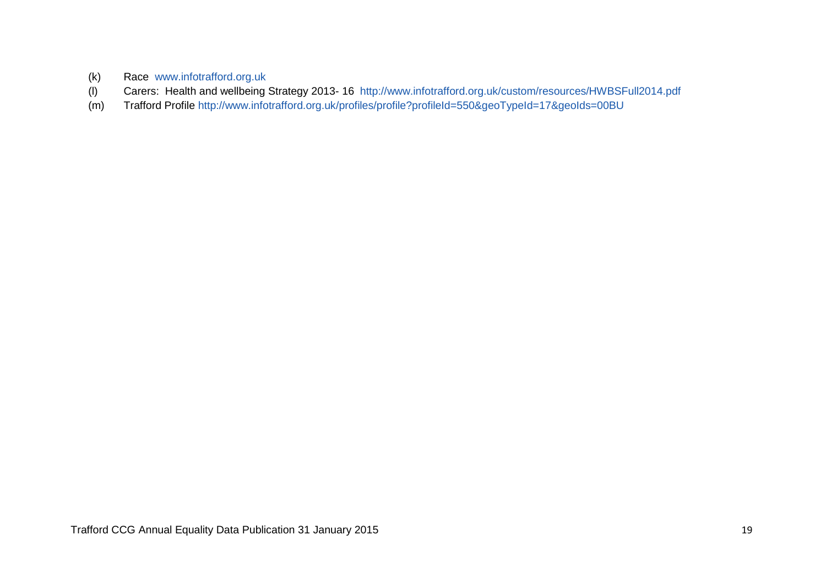- (k) Race [www.infotrafford.org.uk](http://www.infotrafford.org.uk/)
- (l) Carers: Health and wellbeing Strategy 2013- 16 <http://www.infotrafford.org.uk/custom/resources/HWBSFull2014.pdf>
- (m) Trafford Profile<http://www.infotrafford.org.uk/profiles/profile?profileId=550&geoTypeId=17&geoIds=00BU>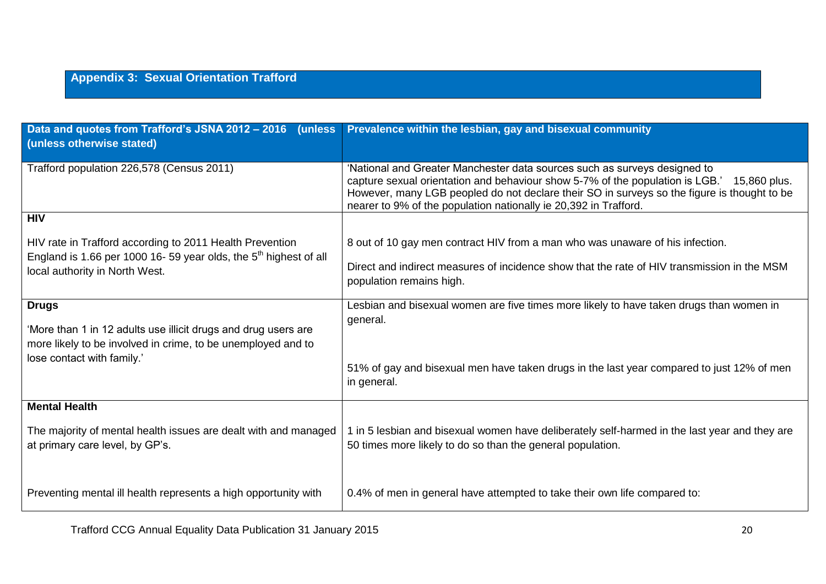# **Appendix 3: Sexual Orientation Trafford**

| Data and quotes from Trafford's JSNA 2012 - 2016 (unless<br>(unless otherwise stated)                                                                                          | Prevalence within the lesbian, gay and bisexual community                                                                                                                                                                                                                                                                                     |
|--------------------------------------------------------------------------------------------------------------------------------------------------------------------------------|-----------------------------------------------------------------------------------------------------------------------------------------------------------------------------------------------------------------------------------------------------------------------------------------------------------------------------------------------|
| Trafford population 226,578 (Census 2011)                                                                                                                                      | 'National and Greater Manchester data sources such as surveys designed to<br>capture sexual orientation and behaviour show 5-7% of the population is LGB.'<br>15,860 plus.<br>However, many LGB peopled do not declare their SO in surveys so the figure is thought to be<br>nearer to 9% of the population nationally ie 20,392 in Trafford. |
| <b>HIV</b><br>HIV rate in Trafford according to 2011 Health Prevention<br>England is 1.66 per 1000 16-59 year olds, the $5th$ highest of all<br>local authority in North West. | 8 out of 10 gay men contract HIV from a man who was unaware of his infection.<br>Direct and indirect measures of incidence show that the rate of HIV transmission in the MSM<br>population remains high.                                                                                                                                      |
| <b>Drugs</b><br>'More than 1 in 12 adults use illicit drugs and drug users are<br>more likely to be involved in crime, to be unemployed and to<br>lose contact with family.'   | Lesbian and bisexual women are five times more likely to have taken drugs than women in<br>general.<br>51% of gay and bisexual men have taken drugs in the last year compared to just 12% of men<br>in general.                                                                                                                               |
| <b>Mental Health</b><br>The majority of mental health issues are dealt with and managed<br>at primary care level, by GP's.                                                     | 1 in 5 lesbian and bisexual women have deliberately self-harmed in the last year and they are<br>50 times more likely to do so than the general population.                                                                                                                                                                                   |
| Preventing mental ill health represents a high opportunity with                                                                                                                | 0.4% of men in general have attempted to take their own life compared to:                                                                                                                                                                                                                                                                     |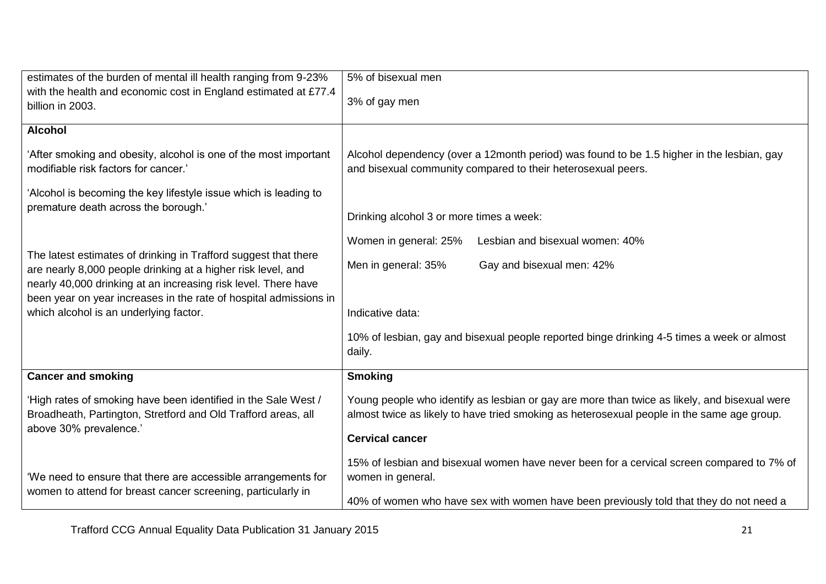| estimates of the burden of mental ill health ranging from 9-23%                                                                                                                                   | 5% of bisexual men                                                                                                                                                                         |  |  |  |
|---------------------------------------------------------------------------------------------------------------------------------------------------------------------------------------------------|--------------------------------------------------------------------------------------------------------------------------------------------------------------------------------------------|--|--|--|
| with the health and economic cost in England estimated at £77.4<br>billion in 2003.                                                                                                               | 3% of gay men                                                                                                                                                                              |  |  |  |
| <b>Alcohol</b>                                                                                                                                                                                    |                                                                                                                                                                                            |  |  |  |
| 'After smoking and obesity, alcohol is one of the most important<br>modifiable risk factors for cancer.'                                                                                          | Alcohol dependency (over a 12month period) was found to be 1.5 higher in the lesbian, gay<br>and bisexual community compared to their heterosexual peers.                                  |  |  |  |
| 'Alcohol is becoming the key lifestyle issue which is leading to                                                                                                                                  |                                                                                                                                                                                            |  |  |  |
| premature death across the borough.'                                                                                                                                                              | Drinking alcohol 3 or more times a week:                                                                                                                                                   |  |  |  |
|                                                                                                                                                                                                   | Lesbian and bisexual women: 40%<br>Women in general: 25%                                                                                                                                   |  |  |  |
| The latest estimates of drinking in Trafford suggest that there<br>are nearly 8,000 people drinking at a higher risk level, and<br>nearly 40,000 drinking at an increasing risk level. There have | Men in general: 35%<br>Gay and bisexual men: 42%                                                                                                                                           |  |  |  |
| been year on year increases in the rate of hospital admissions in<br>which alcohol is an underlying factor.                                                                                       | Indicative data:                                                                                                                                                                           |  |  |  |
|                                                                                                                                                                                                   |                                                                                                                                                                                            |  |  |  |
|                                                                                                                                                                                                   | 10% of lesbian, gay and bisexual people reported binge drinking 4-5 times a week or almost<br>daily.                                                                                       |  |  |  |
| <b>Cancer and smoking</b>                                                                                                                                                                         | Smoking                                                                                                                                                                                    |  |  |  |
| 'High rates of smoking have been identified in the Sale West /<br>Broadheath, Partington, Stretford and Old Trafford areas, all                                                                   | Young people who identify as lesbian or gay are more than twice as likely, and bisexual were<br>almost twice as likely to have tried smoking as heterosexual people in the same age group. |  |  |  |
| above 30% prevalence.'                                                                                                                                                                            | <b>Cervical cancer</b>                                                                                                                                                                     |  |  |  |
| 'We need to ensure that there are accessible arrangements for<br>women to attend for breast cancer screening, particularly in                                                                     | 15% of lesbian and bisexual women have never been for a cervical screen compared to 7% of<br>women in general.                                                                             |  |  |  |
|                                                                                                                                                                                                   | 40% of women who have sex with women have been previously told that they do not need a                                                                                                     |  |  |  |